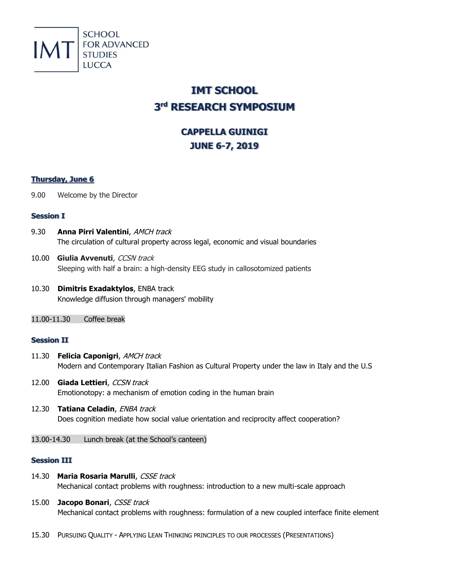

# **IMT SCHOOL 3 rd RESEARCH SYMPOSIUM**

## **CAPPELLA GUINIGI JUNE 6-7, 2019**

## **Thursday, June 6**

9.00 Welcome by the Director

## **Session I**

- 9.30 **Anna Pirri Valentini**, AMCH track The circulation of cultural property across legal, economic and visual boundaries
- 10.00 **Giulia Avvenuti**, CCSN track Sleeping with half a brain: a high-density EEG study in callosotomized patients
- 10.30 **Dimitris Exadaktylos**, ENBA track Knowledge diffusion through managers' mobility
- 11.00-11.30 Coffee break

## **Session II**

- 11.30 **Felicia Caponigri**, AMCH track Modern and Contemporary Italian Fashion as Cultural Property under the law in Italy and the U.S
- 12.00 **Giada Lettieri**, CCSN track Emotionotopy: a mechanism of emotion coding in the human brain
- 12.30 **Tatiana Celadin**, ENBA track Does cognition mediate how social value orientation and reciprocity affect cooperation?
- 13.00-14.30 Lunch break (at the School's canteen)

## **Session III**

- 14.30 Maria Rosaria Marulli, CSSE track Mechanical contact problems with roughness: introduction to a new multi-scale approach
- 15.00 **Jacopo Bonari**, CSSE track Mechanical contact problems with roughness: formulation of a new coupled interface finite element
- 15.30 PURSUING QUALITY APPLYING LEAN THINKING PRINCIPLES TO OUR PROCESSES (PRESENTATIONS)